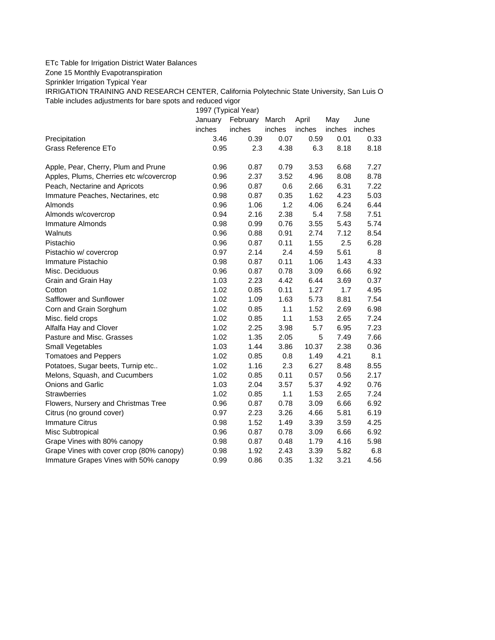## ETc Table for Irrigation District Water Balances

Zone 15 Monthly Evapotranspiration

Sprinkler Irrigation Typical Year

IRRIGATION TRAINING AND RESEARCH CENTER, California Polytechnic State University, San Luis O Table includes adjustments for bare spots and reduced vigor

1997 (Typical Year)

|                                          | January | February | March  | April  | May    | June   |
|------------------------------------------|---------|----------|--------|--------|--------|--------|
|                                          | inches  | inches   | inches | inches | inches | inches |
| Precipitation                            | 3.46    | 0.39     | 0.07   | 0.59   | 0.01   | 0.33   |
| Grass Reference ETo                      | 0.95    | 2.3      | 4.38   | 6.3    | 8.18   | 8.18   |
| Apple, Pear, Cherry, Plum and Prune      | 0.96    | 0.87     | 0.79   | 3.53   | 6.68   | 7.27   |
| Apples, Plums, Cherries etc w/covercrop  | 0.96    | 2.37     | 3.52   | 4.96   | 8.08   | 8.78   |
| Peach, Nectarine and Apricots            | 0.96    | 0.87     | 0.6    | 2.66   | 6.31   | 7.22   |
| Immature Peaches, Nectarines, etc        | 0.98    | 0.87     | 0.35   | 1.62   | 4.23   | 5.03   |
| Almonds                                  | 0.96    | 1.06     | 1.2    | 4.06   | 6.24   | 6.44   |
| Almonds w/covercrop                      | 0.94    | 2.16     | 2.38   | 5.4    | 7.58   | 7.51   |
| Immature Almonds                         | 0.98    | 0.99     | 0.76   | 3.55   | 5.43   | 5.74   |
| Walnuts                                  | 0.96    | 0.88     | 0.91   | 2.74   | 7.12   | 8.54   |
| Pistachio                                | 0.96    | 0.87     | 0.11   | 1.55   | 2.5    | 6.28   |
| Pistachio w/ covercrop                   | 0.97    | 2.14     | 2.4    | 4.59   | 5.61   | 8      |
| Immature Pistachio                       | 0.98    | 0.87     | 0.11   | 1.06   | 1.43   | 4.33   |
| Misc. Deciduous                          | 0.96    | 0.87     | 0.78   | 3.09   | 6.66   | 6.92   |
| Grain and Grain Hay                      | 1.03    | 2.23     | 4.42   | 6.44   | 3.69   | 0.37   |
| Cotton                                   | 1.02    | 0.85     | 0.11   | 1.27   | 1.7    | 4.95   |
| Safflower and Sunflower                  | 1.02    | 1.09     | 1.63   | 5.73   | 8.81   | 7.54   |
| Corn and Grain Sorghum                   | 1.02    | 0.85     | 1.1    | 1.52   | 2.69   | 6.98   |
| Misc. field crops                        | 1.02    | 0.85     | 1.1    | 1.53   | 2.65   | 7.24   |
| Alfalfa Hay and Clover                   | 1.02    | 2.25     | 3.98   | 5.7    | 6.95   | 7.23   |
| Pasture and Misc. Grasses                | 1.02    | 1.35     | 2.05   | 5      | 7.49   | 7.66   |
| Small Vegetables                         | 1.03    | 1.44     | 3.86   | 10.37  | 2.38   | 0.36   |
| <b>Tomatoes and Peppers</b>              | 1.02    | 0.85     | 0.8    | 1.49   | 4.21   | 8.1    |
| Potatoes, Sugar beets, Turnip etc        | 1.02    | 1.16     | 2.3    | 6.27   | 8.48   | 8.55   |
| Melons, Squash, and Cucumbers            | 1.02    | 0.85     | 0.11   | 0.57   | 0.56   | 2.17   |
| <b>Onions and Garlic</b>                 | 1.03    | 2.04     | 3.57   | 5.37   | 4.92   | 0.76   |
| <b>Strawberries</b>                      | 1.02    | 0.85     | 1.1    | 1.53   | 2.65   | 7.24   |
| Flowers, Nursery and Christmas Tree      | 0.96    | 0.87     | 0.78   | 3.09   | 6.66   | 6.92   |
| Citrus (no ground cover)                 | 0.97    | 2.23     | 3.26   | 4.66   | 5.81   | 6.19   |
| <b>Immature Citrus</b>                   | 0.98    | 1.52     | 1.49   | 3.39   | 3.59   | 4.25   |
| Misc Subtropical                         | 0.96    | 0.87     | 0.78   | 3.09   | 6.66   | 6.92   |
| Grape Vines with 80% canopy              | 0.98    | 0.87     | 0.48   | 1.79   | 4.16   | 5.98   |
| Grape Vines with cover crop (80% canopy) | 0.98    | 1.92     | 2.43   | 3.39   | 5.82   | 6.8    |
| Immature Grapes Vines with 50% canopy    | 0.99    | 0.86     | 0.35   | 1.32   | 3.21   | 4.56   |